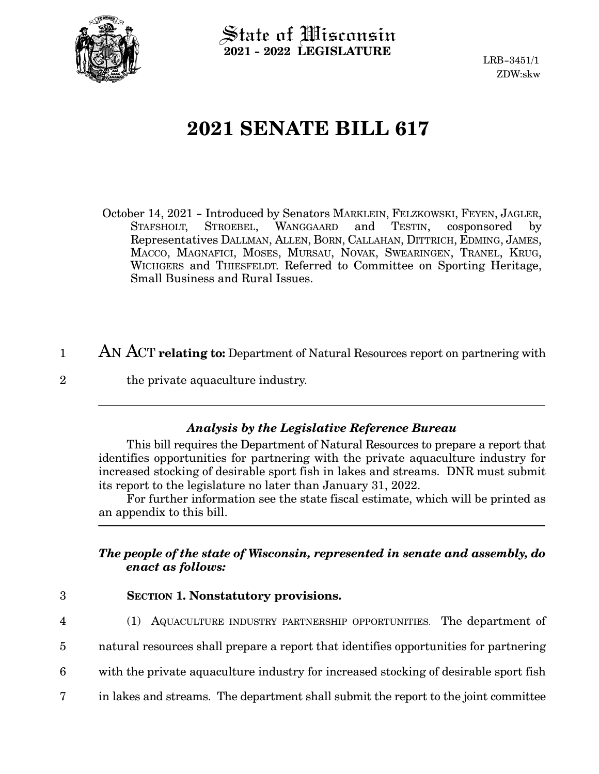

 $\operatorname{\mathsf{State}}$  of Wisconsin **2021 - 2022 LEGISLATURE**

LRB-3451/1 ZDW:skw

## **2021 SENATE BILL 617**

- October 14, 2021 Introduced by Senators MARKLEIN, FELZKOWSKI, FEYEN, JAGLER,<br>STAFSHOLT, STROEBEL, WANGGAARD and TESTIN, cosponsored by STAFSHOLT, STROEBEL, WANGGAARD and TESTIN, cosponsored by Representatives DALLMAN, ALLEN, BORN, CALLAHAN, DITTRICH, EDMING, JAMES, MACCO, MAGNAFICI, MOSES, MURSAU, NOVAK, SWEARINGEN, TRANEL, KRUG, WICHGERS and THIESFELDT. Referred to Committee on Sporting Heritage, Small Business and Rural Issues.
- AN ACT **relating to:** Department of Natural Resources report on partnering with 1
- the private aquaculture industry. 2

## *Analysis by the Legislative Reference Bureau*

This bill requires the Department of Natural Resources to prepare a report that identifies opportunities for partnering with the private aquaculture industry for increased stocking of desirable sport fish in lakes and streams. DNR must submit its report to the legislature no later than January 31, 2022.

For further information see the state fiscal estimate, which will be printed as an appendix to this bill.

## *The people of the state of Wisconsin, represented in senate and assembly, do enact as follows:*

- 3
- **SECTION 1. Nonstatutory provisions.**
- 4
- (1) AQUACULTURE INDUSTRY PARTNERSHIP OPPORTUNITIES. The department of
- natural resources shall prepare a report that identifies opportunities for partnering 5
- with the private aquaculture industry for increased stocking of desirable sport fish 6
- in lakes and streams. The department shall submit the report to the joint committee 7